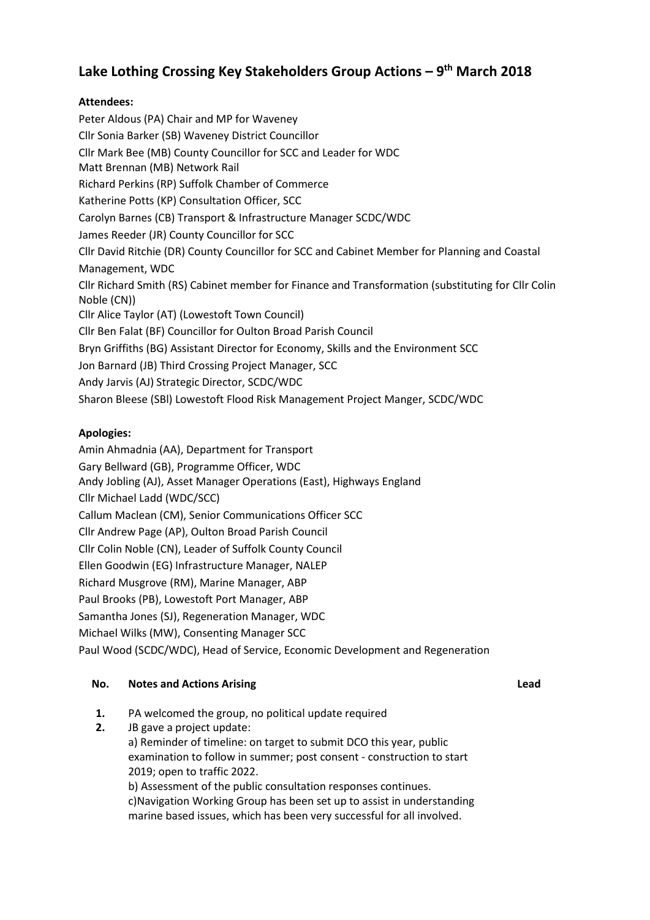# **Lake Lothing Crossing Key Stakeholders Group Actions – 9 th March 2018**

## **Attendees:**

Peter Aldous (PA) Chair and MP for Waveney Cllr Sonia Barker (SB) Waveney District Councillor Cllr Mark Bee (MB) County Councillor for SCC and Leader for WDC Matt Brennan (MB) Network Rail Richard Perkins (RP) Suffolk Chamber of Commerce Katherine Potts (KP) Consultation Officer, SCC Carolyn Barnes (CB) Transport & Infrastructure Manager SCDC/WDC James Reeder (JR) County Councillor for SCC Cllr David Ritchie (DR) County Councillor for SCC and Cabinet Member for Planning and Coastal Management, WDC Cllr Richard Smith (RS) Cabinet member for Finance and Transformation (substituting for Cllr Colin Noble (CN)) Cllr Alice Taylor (AT) (Lowestoft Town Council) Cllr Ben Falat (BF) Councillor for Oulton Broad Parish Council Bryn Griffiths (BG) Assistant Director for Economy, Skills and the Environment SCC Jon Barnard (JB) Third Crossing Project Manager, SCC Andy Jarvis (AJ) Strategic Director, SCDC/WDC Sharon Bleese (SBl) Lowestoft Flood Risk Management Project Manger, SCDC/WDC

# **Apologies:**

Amin Ahmadnia (AA), Department for Transport Gary Bellward (GB), Programme Officer, WDC Andy Jobling (AJ), Asset Manager Operations (East), Highways England Cllr Michael Ladd (WDC/SCC) Callum Maclean (CM), Senior Communications Officer SCC Cllr Andrew Page (AP), Oulton Broad Parish Council Cllr Colin Noble (CN), Leader of Suffolk County Council Ellen Goodwin (EG) Infrastructure Manager, NALEP Richard Musgrove (RM), Marine Manager, ABP Paul Brooks (PB), Lowestoft Port Manager, ABP Samantha Jones (SJ), Regeneration Manager, WDC Michael Wilks (MW), Consenting Manager SCC Paul Wood (SCDC/WDC), Head of Service, Economic Development and Regeneration

## **No. Notes and Actions Arising Lead**

- **1.** PA welcomed the group, no political update required
- **2.** JB gave a project update:

a) Reminder of timeline: on target to submit DCO this year, public examination to follow in summer; post consent - construction to start 2019; open to traffic 2022.

b) Assessment of the public consultation responses continues. c)Navigation Working Group has been set up to assist in understanding marine based issues, which has been very successful for all involved.